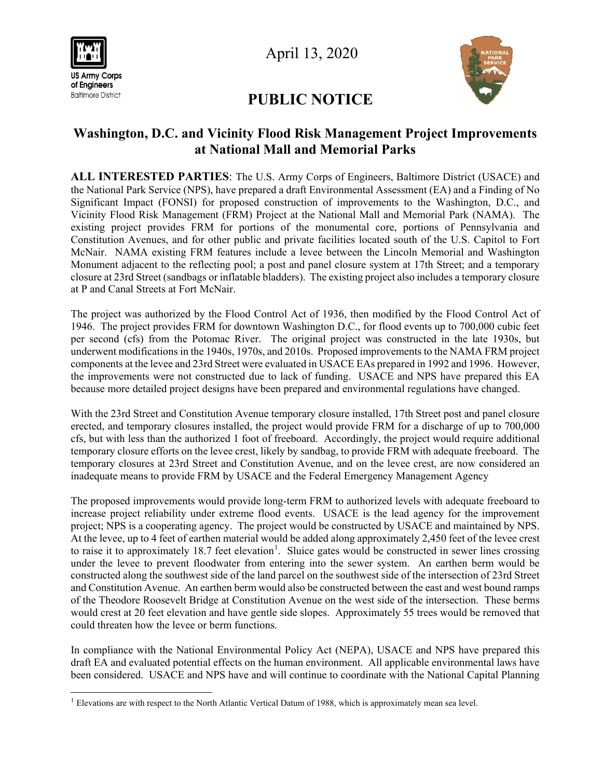

April 13, 2020

## **PUBLIC NOTICE**

## **Washington, D.C. and Vicinity Flood Risk Management Project Improvements at National Mall and Memorial Parks**

**ALL INTERESTED PARTIES**: The U.S. Army Corps of Engineers, Baltimore District (USACE) and the National Park Service (NPS), have prepared a draft Environmental Assessment (EA) and a Finding of No Significant Impact (FONSI) for proposed construction of improvements to the Washington, D.C., and Vicinity Flood Risk Management (FRM) Project at the National Mall and Memorial Park (NAMA). The existing project provides FRM for portions of the monumental core, portions of Pennsylvania and Constitution Avenues, and for other public and private facilities located south of the U.S. Capitol to Fort McNair. NAMA existing FRM features include a levee between the Lincoln Memorial and Washington Monument adjacent to the reflecting pool; a post and panel closure system at 17th Street; and a temporary closure at 23rd Street (sandbags or inflatable bladders). The existing project also includes a temporary closure at P and Canal Streets at Fort McNair.

The project was authorized by the Flood Control Act of 1936, then modified by the Flood Control Act of 1946. The project provides FRM for downtown Washington D.C., for flood events up to 700,000 cubic feet per second (cfs) from the Potomac River. The original project was constructed in the late 1930s, but underwent modifications in the 1940s, 1970s, and 2010s. Proposed improvements to the NAMA FRM project components at the levee and 23rd Street were evaluated in USACE EAs prepared in 1992 and 1996. However, the improvements were not constructed due to lack of funding. USACE and NPS have prepared this EA because more detailed project designs have been prepared and environmental regulations have changed.

With the 23rd Street and Constitution Avenue temporary closure installed, 17th Street post and panel closure erected, and temporary closures installed, the project would provide FRM for a discharge of up to 700,000 cfs, but with less than the authorized 1 foot of freeboard. Accordingly, the project would require additional temporary closure efforts on the levee crest, likely by sandbag, to provide FRM with adequate freeboard. The temporary closures at 23rd Street and Constitution Avenue, and on the levee crest, are now considered an inadequate means to provide FRM by USACE and the Federal Emergency Management Agency

The proposed improvements would provide long-term FRM to authorized levels with adequate freeboard to increase project reliability under extreme flood events. USACE is the lead agency for the improvement project; NPS is a cooperating agency. The project would be constructed by USACE and maintained by NPS. At the levee, up to 4 feet of earthen material would be added along approximately 2,450 feet of the levee crest to raise it to approximately [1](#page-0-0)8.7 feet elevation<sup>1</sup>. Sluice gates would be constructed in sewer lines crossing under the levee to prevent floodwater from entering into the sewer system. An earthen berm would be constructed along the southwest side of the land parcel on the southwest side of the intersection of 23rd Street and Constitution Avenue. An earthen berm would also be constructed between the east and west bound ramps of the Theodore Roosevelt Bridge at Constitution Avenue on the west side of the intersection. These berms would crest at 20 feet elevation and have gentle side slopes. Approximately 55 trees would be removed that could threaten how the levee or berm functions.

In compliance with the National Environmental Policy Act (NEPA), USACE and NPS have prepared this draft EA and evaluated potential effects on the human environment. All applicable environmental laws have been considered. USACE and NPS have and will continue to coordinate with the National Capital Planning

<span id="page-0-0"></span><sup>&</sup>lt;sup>1</sup> Elevations are with respect to the North Atlantic Vertical Datum of 1988, which is approximately mean sea level.